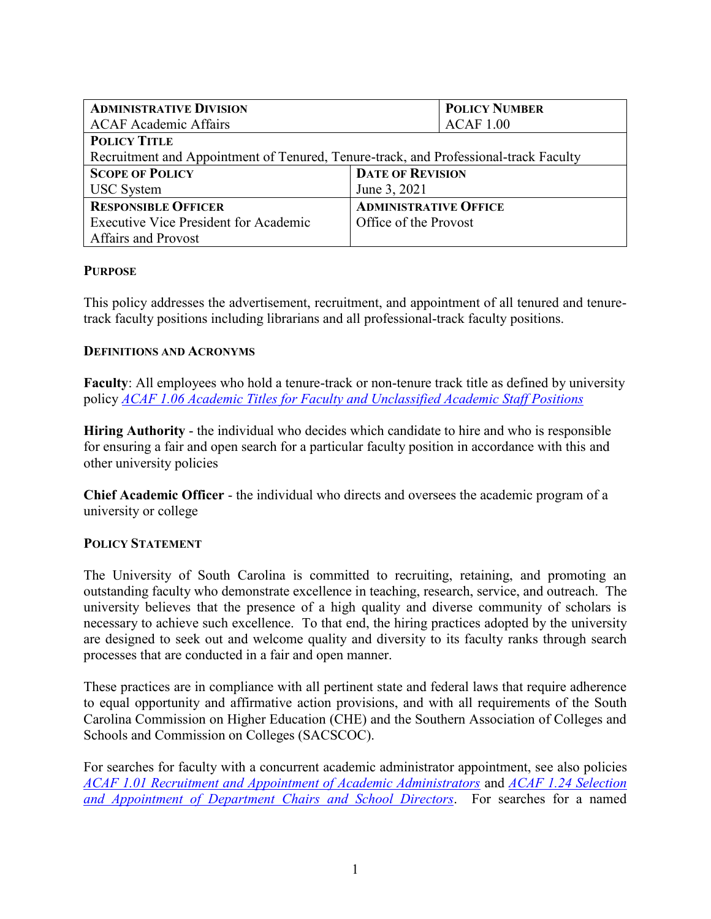| <b>ADMINISTRATIVE DIVISION</b>                                                       | <b>POLICY NUMBER</b>         |  |
|--------------------------------------------------------------------------------------|------------------------------|--|
| <b>ACAF Academic Affairs</b>                                                         | <b>ACAF 1.00</b>             |  |
| <b>POLICY TITLE</b>                                                                  |                              |  |
| Recruitment and Appointment of Tenured, Tenure-track, and Professional-track Faculty |                              |  |
| <b>SCOPE OF POLICY</b>                                                               | <b>DATE OF REVISION</b>      |  |
| <b>USC</b> System                                                                    | June 3, 2021                 |  |
| <b>RESPONSIBLE OFFICER</b>                                                           | <b>ADMINISTRATIVE OFFICE</b> |  |
| <b>Executive Vice President for Academic</b>                                         | Office of the Provost        |  |
| <b>Affairs and Provost</b>                                                           |                              |  |

### **PURPOSE**

This policy addresses the advertisement, recruitment, and appointment of all tenured and tenuretrack faculty positions including librarians and all professional-track faculty positions.

### **DEFINITIONS AND ACRONYMS**

**Faculty**: All employees who hold a tenure-track or non-tenure track title as defined by university policy *[ACAF 1.06 Academic Titles for Faculty and Unclassified Academic Staff Positions](https://www.sc.edu/policies/ppm/acaf106.pdf)*

**Hiring Authority** - the individual who decides which candidate to hire and who is responsible for ensuring a fair and open search for a particular faculty position in accordance with this and other university policies

**Chief Academic Officer** - the individual who directs and oversees the academic program of a university or college

### **POLICY STATEMENT**

The University of South Carolina is committed to recruiting, retaining, and promoting an outstanding faculty who demonstrate excellence in teaching, research, service, and outreach. The university believes that the presence of a high quality and diverse community of scholars is necessary to achieve such excellence. To that end, the hiring practices adopted by the university are designed to seek out and welcome quality and diversity to its faculty ranks through search processes that are conducted in a fair and open manner.

These practices are in compliance with all pertinent state and federal laws that require adherence to equal opportunity and affirmative action provisions, and with all requirements of the South Carolina Commission on Higher Education (CHE) and the Southern Association of Colleges and Schools and Commission on Colleges (SACSCOC).

For searches for faculty with a concurrent academic administrator appointment, see also policies *[ACAF 1.01 Recruitment and Appointment of Academic Administrators](https://www.sc.edu/policies/ppm/acaf101.pdf)* and *[ACAF 1.24 Selection](https://www.sc.edu/policies/ppm/acaf124.pdf)  [and Appointment of Department Chairs and School Directors](https://www.sc.edu/policies/ppm/acaf124.pdf)*. For searches for a named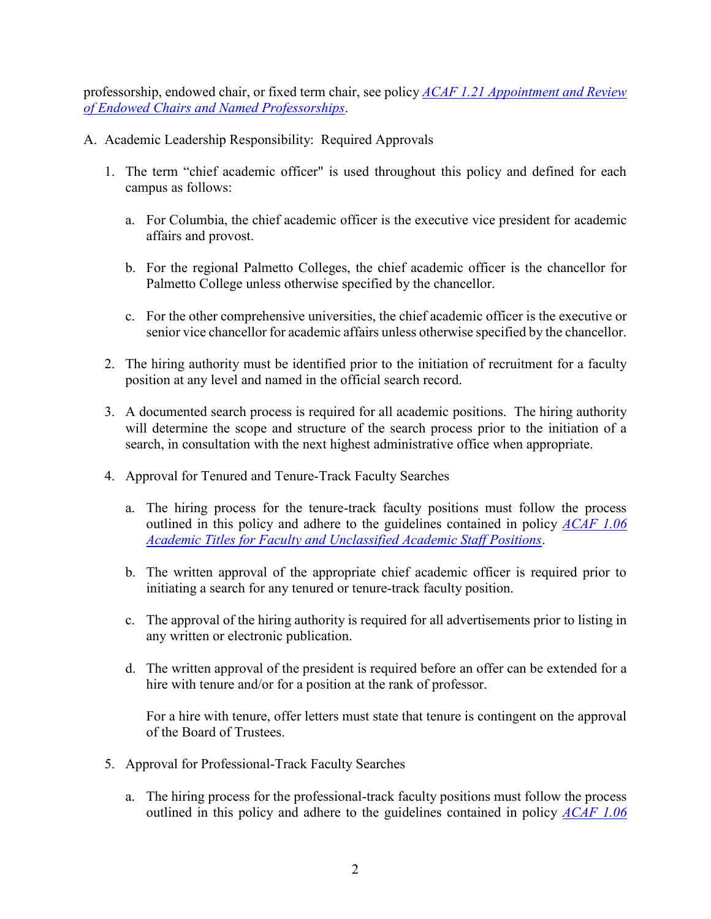professorship, endowed chair, or fixed term chair, see policy *[ACAF 1.21 Appointment and Review](https://www.sc.edu/policies/ppm/acaf121.pdf)  [of Endowed Chairs and Named Professorships](https://www.sc.edu/policies/ppm/acaf121.pdf)*.

- A. Academic Leadership Responsibility: Required Approvals
	- 1. The term "chief academic officer" is used throughout this policy and defined for each campus as follows:
		- a. For Columbia, the chief academic officer is the executive vice president for academic affairs and provost.
		- b. For the regional Palmetto Colleges, the chief academic officer is the chancellor for Palmetto College unless otherwise specified by the chancellor.
		- c. For the other comprehensive universities, the chief academic officer is the executive or senior vice chancellor for academic affairs unless otherwise specified by the chancellor.
	- 2. The hiring authority must be identified prior to the initiation of recruitment for a faculty position at any level and named in the official search record.
	- 3. A documented search process is required for all academic positions. The hiring authority will determine the scope and structure of the search process prior to the initiation of a search, in consultation with the next highest administrative office when appropriate.
	- 4. Approval for Tenured and Tenure-Track Faculty Searches
		- a. The hiring process for the tenure-track faculty positions must follow the process outlined in this policy and adhere to the guidelines contained in policy *[ACAF 1.06](https://www.sc.edu/policies/ppm/acaf106.pdf)  [Academic Titles for Faculty and Unclassified Academic Staff Positions](https://www.sc.edu/policies/ppm/acaf106.pdf)*.
		- b. The written approval of the appropriate chief academic officer is required prior to initiating a search for any tenured or tenure-track faculty position.
		- c. The approval of the hiring authority is required for all advertisements prior to listing in any written or electronic publication.
		- d. The written approval of the president is required before an offer can be extended for a hire with tenure and/or for a position at the rank of professor.

For a hire with tenure, offer letters must state that tenure is contingent on the approval of the Board of Trustees.

- 5. Approval for Professional-Track Faculty Searches
	- a. The hiring process for the professional-track faculty positions must follow the process outlined in this policy and adhere to the guidelines contained in policy *[ACAF 1.06](https://www.sc.edu/policies/ppm/acaf106.pdf)*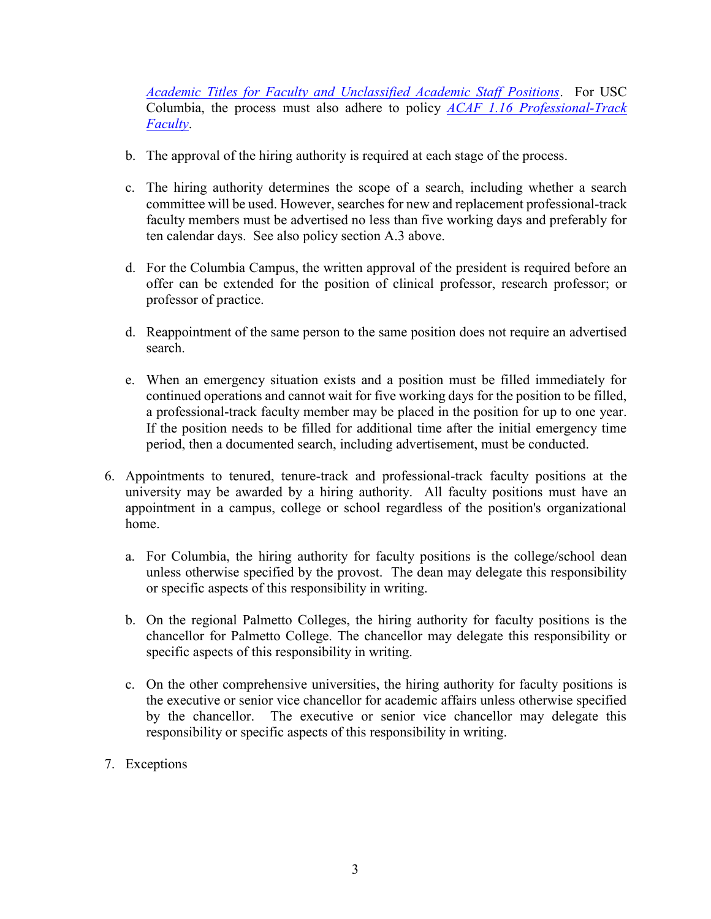*[Academic Titles for Faculty and Unclassified Academic Staff Positions](https://www.sc.edu/policies/ppm/acaf106.pdf)*. For USC Columbia, the process must also adhere to policy *[ACAF 1.16 Professional-Track](https://www.sc.edu/policies/ppm/acaf116.pdf)  [Faculty](https://www.sc.edu/policies/ppm/acaf116.pdf)*.

- b. The approval of the hiring authority is required at each stage of the process.
- c. The hiring authority determines the scope of a search, including whether a search committee will be used. However, searches for new and replacement professional-track faculty members must be advertised no less than five working days and preferably for ten calendar days. See also policy section A.3 above.
- d. For the Columbia Campus, the written approval of the president is required before an offer can be extended for the position of clinical professor, research professor; or professor of practice.
- d. Reappointment of the same person to the same position does not require an advertised search.
- e. When an emergency situation exists and a position must be filled immediately for continued operations and cannot wait for five working days for the position to be filled, a professional-track faculty member may be placed in the position for up to one year. If the position needs to be filled for additional time after the initial emergency time period, then a documented search, including advertisement, must be conducted.
- 6. Appointments to tenured, tenure-track and professional-track faculty positions at the university may be awarded by a hiring authority. All faculty positions must have an appointment in a campus, college or school regardless of the position's organizational home.
	- a. For Columbia, the hiring authority for faculty positions is the college/school dean unless otherwise specified by the provost. The dean may delegate this responsibility or specific aspects of this responsibility in writing.
	- b. On the regional Palmetto Colleges, the hiring authority for faculty positions is the chancellor for Palmetto College. The chancellor may delegate this responsibility or specific aspects of this responsibility in writing.
	- c. On the other comprehensive universities, the hiring authority for faculty positions is the executive or senior vice chancellor for academic affairs unless otherwise specified by the chancellor. The executive or senior vice chancellor may delegate this responsibility or specific aspects of this responsibility in writing.
- 7. Exceptions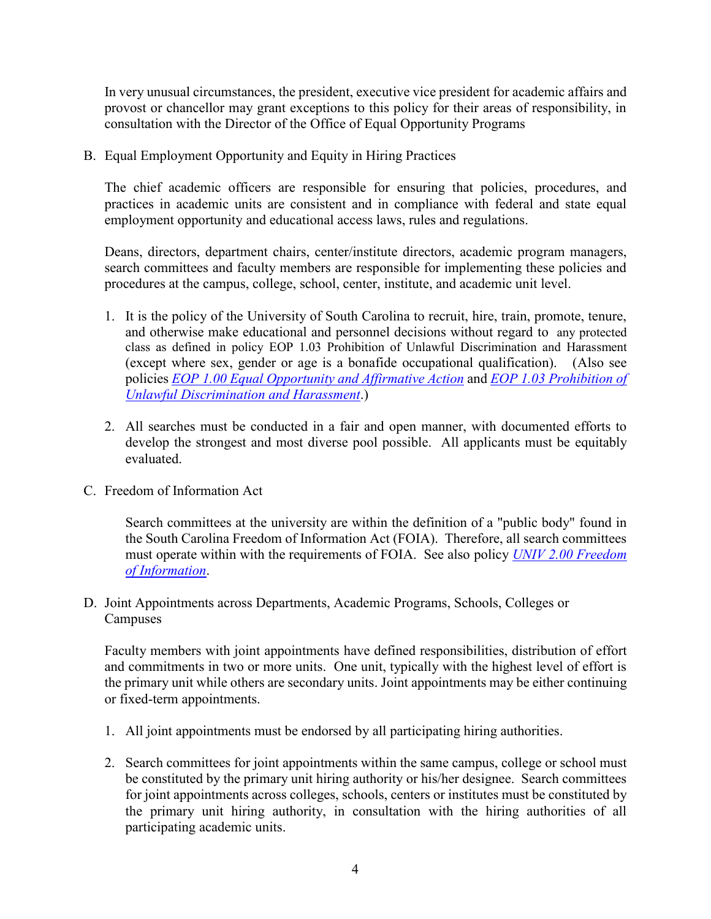In very unusual circumstances, the president, executive vice president for academic affairs and provost or chancellor may grant exceptions to this policy for their areas of responsibility, in consultation with the Director of the Office of Equal Opportunity Programs

B. Equal Employment Opportunity and Equity in Hiring Practices

The chief academic officers are responsible for ensuring that policies, procedures, and practices in academic units are consistent and in compliance with federal and state equal employment opportunity and educational access laws, rules and regulations.

Deans, directors, department chairs, center/institute directors, academic program managers, search committees and faculty members are responsible for implementing these policies and procedures at the campus, college, school, center, institute, and academic unit level.

- 1. It is the policy of the University of South Carolina to recruit, hire, train, promote, tenure, and otherwise make educational and personnel decisions without regard to any protected class as defined in policy EOP 1.03 Prohibition of Unlawful Discrimination and Harassment (except where sex, gender or age is a bonafide occupational qualification). (Also see policies *EOP [1.00 Equal Opportunity and](https://www.sc.edu/policies/ppm/eop100.pdf) Affirmative Action* and *[EOP 1.03 Prohibition of](https://www.sc.edu/policies/ppm/eop103.pdf)  [Unlawful Discrimination](https://www.sc.edu/policies/ppm/eop103.pdf) and Harassment*.)
- 2. All searches must be conducted in a fair and open manner, with documented efforts to develop the strongest and most diverse pool possible. All applicants must be equitably evaluated.
- C. Freedom of Information Act

Search committees at the university are within the definition of a "public body" found in the South Carolina Freedom of Information Act (FOIA). Therefore, all search committees must operate within with the requirements of FOIA. See also policy *[UNIV 2.00 Freedom](https://www.sc.edu/policies/ppm/univ200.pdf)  [of Information](https://www.sc.edu/policies/ppm/univ200.pdf)*.

D. Joint Appointments across Departments, Academic Programs, Schools, Colleges or **Campuses** 

Faculty members with joint appointments have defined responsibilities, distribution of effort and commitments in two or more units. One unit, typically with the highest level of effort is the primary unit while others are secondary units. Joint appointments may be either continuing or fixed-term appointments.

- 1. All joint appointments must be endorsed by all participating hiring authorities.
- 2. Search committees for joint appointments within the same campus, college or school must be constituted by the primary unit hiring authority or his/her designee. Search committees for joint appointments across colleges, schools, centers or institutes must be constituted by the primary unit hiring authority, in consultation with the hiring authorities of all participating academic units.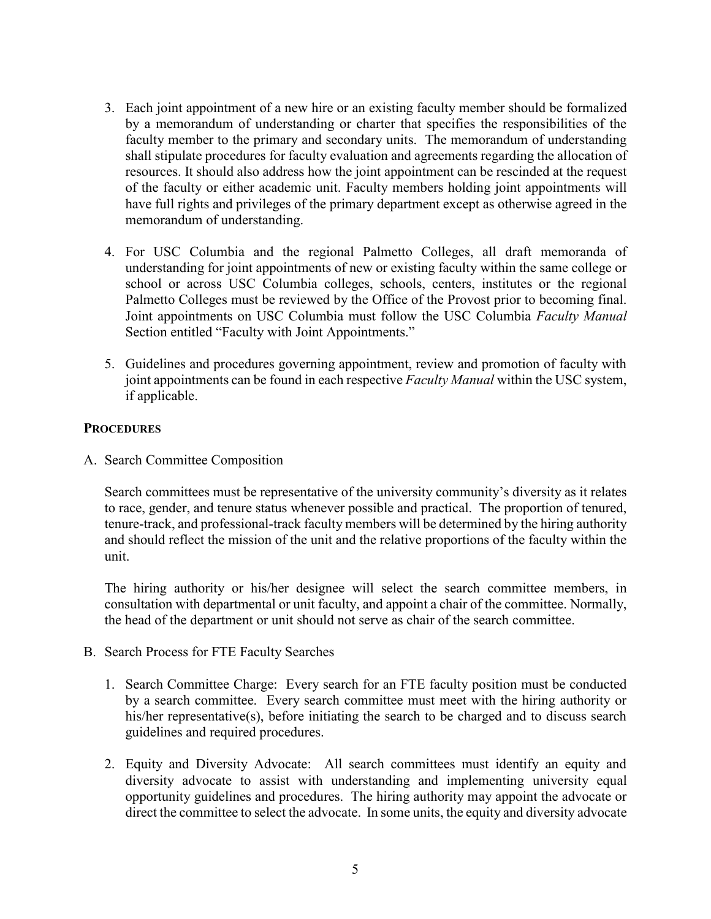- 3. Each joint appointment of a new hire or an existing faculty member should be formalized by a memorandum of understanding or charter that specifies the responsibilities of the faculty member to the primary and secondary units. The memorandum of understanding shall stipulate procedures for faculty evaluation and agreements regarding the allocation of resources. It should also address how the joint appointment can be rescinded at the request of the faculty or either academic unit. Faculty members holding joint appointments will have full rights and privileges of the primary department except as otherwise agreed in the memorandum of understanding.
- 4. For USC Columbia and the regional Palmetto Colleges, all draft memoranda of understanding for joint appointments of new or existing faculty within the same college or school or across USC Columbia colleges, schools, centers, institutes or the regional Palmetto Colleges must be reviewed by the Office of the Provost prior to becoming final. Joint appointments on USC Columbia must follow the USC Columbia *Faculty Manual*  Section entitled "Faculty with Joint Appointments."
- 5. Guidelines and procedures governing appointment, review and promotion of faculty with joint appointments can be found in each respective *Faculty Manual* within the USC system, if applicable.

### **PROCEDURES**

A. Search Committee Composition

Search committees must be representative of the university community's diversity as it relates to race, gender, and tenure status whenever possible and practical. The proportion of tenured, tenure-track, and professional-track faculty members will be determined by the hiring authority and should reflect the mission of the unit and the relative proportions of the faculty within the unit.

The hiring authority or his/her designee will select the search committee members, in consultation with departmental or unit faculty, and appoint a chair of the committee. Normally, the head of the department or unit should not serve as chair of the search committee.

- B. Search Process for FTE Faculty Searches
	- 1. Search Committee Charge: Every search for an FTE faculty position must be conducted by a search committee. Every search committee must meet with the hiring authority or his/her representative(s), before initiating the search to be charged and to discuss search guidelines and required procedures.
	- 2. Equity and Diversity Advocate: All search committees must identify an equity and diversity advocate to assist with understanding and implementing university equal opportunity guidelines and procedures. The hiring authority may appoint the advocate or direct the committee to select the advocate. In some units, the equity and diversity advocate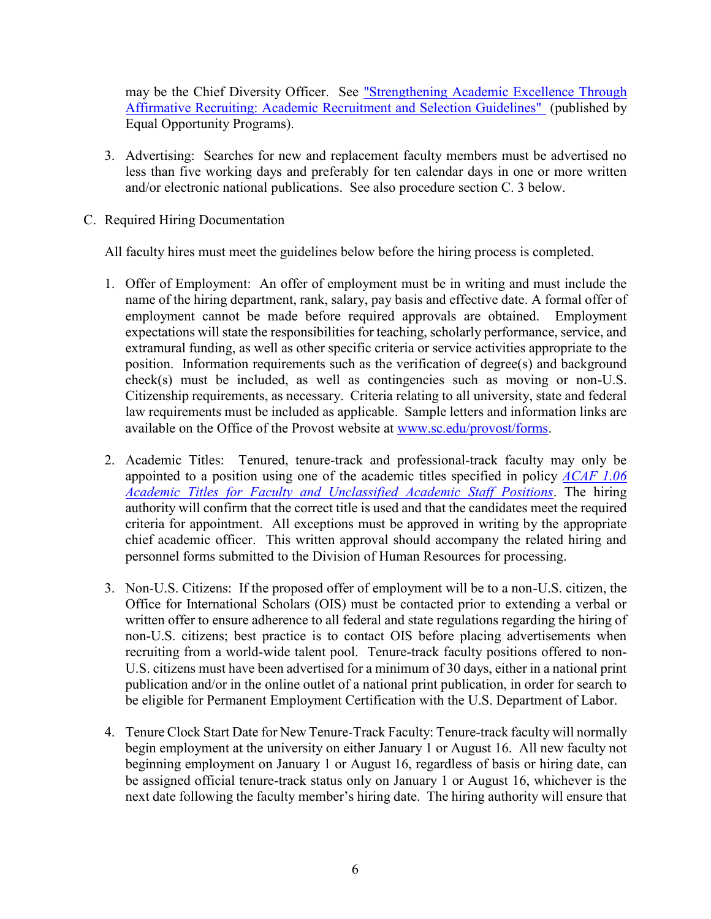may be the Chief Diversity Officer. See "Strengthening Academic Excellence Through [Affirmative Recruiting: Academic Recruitment and Selection Guidelines"](http://www.sc.edu/eop/manual.pdf) (published by Equal Opportunity Programs).

- 3. Advertising: Searches for new and replacement faculty members must be advertised no less than five working days and preferably for ten calendar days in one or more written and/or electronic national publications. See also procedure section C. 3 below.
- C. Required Hiring Documentation

All faculty hires must meet the guidelines below before the hiring process is completed.

- 1. Offer of Employment: An offer of employment must be in writing and must include the name of the hiring department, rank, salary, pay basis and effective date. A formal offer of employment cannot be made before required approvals are obtained. Employment expectations will state the responsibilities for teaching, scholarly performance, service, and extramural funding, as well as other specific criteria or service activities appropriate to the position. Information requirements such as the verification of degree(s) and background check(s) must be included, as well as contingencies such as moving or non-U.S. Citizenship requirements, as necessary. Criteria relating to all university, state and federal law requirements must be included as applicable. Sample letters and information links are available on the Office of the Provost website at [www.sc.edu/provost/forms.](http://www.sc.edu/provost/forms)
- 2. Academic Titles: Tenured, tenure-track and professional-track faculty may only be appointed to a position using one of the academic titles specified in policy *[ACAF 1.06](https://www.sc.edu/policies/ppm/acaf106.pdf)  [Academic Titles for Faculty and Unclassified Academic Staff Positions](https://www.sc.edu/policies/ppm/acaf106.pdf)*. The hiring authority will confirm that the correct title is used and that the candidates meet the required criteria for appointment. All exceptions must be approved in writing by the appropriate chief academic officer. This written approval should accompany the related hiring and personnel forms submitted to the Division of Human Resources for processing.
- 3. Non-U.S. Citizens: If the proposed offer of employment will be to a non-U.S. citizen, the Office for International Scholars (OIS) must be contacted prior to extending a verbal or written offer to ensure adherence to all federal and state regulations regarding the hiring of non-U.S. citizens; best practice is to contact OIS before placing advertisements when recruiting from a world-wide talent pool. Tenure-track faculty positions offered to non-U.S. citizens must have been advertised for a minimum of 30 days, either in a national print publication and/or in the online outlet of a national print publication, in order for search to be eligible for Permanent Employment Certification with the U.S. Department of Labor.
- 4. Tenure Clock Start Date for New Tenure-Track Faculty: Tenure-track faculty will normally begin employment at the university on either January 1 or August 16. All new faculty not beginning employment on January 1 or August 16, regardless of basis or hiring date, can be assigned official tenure-track status only on January 1 or August 16, whichever is the next date following the faculty member's hiring date. The hiring authority will ensure that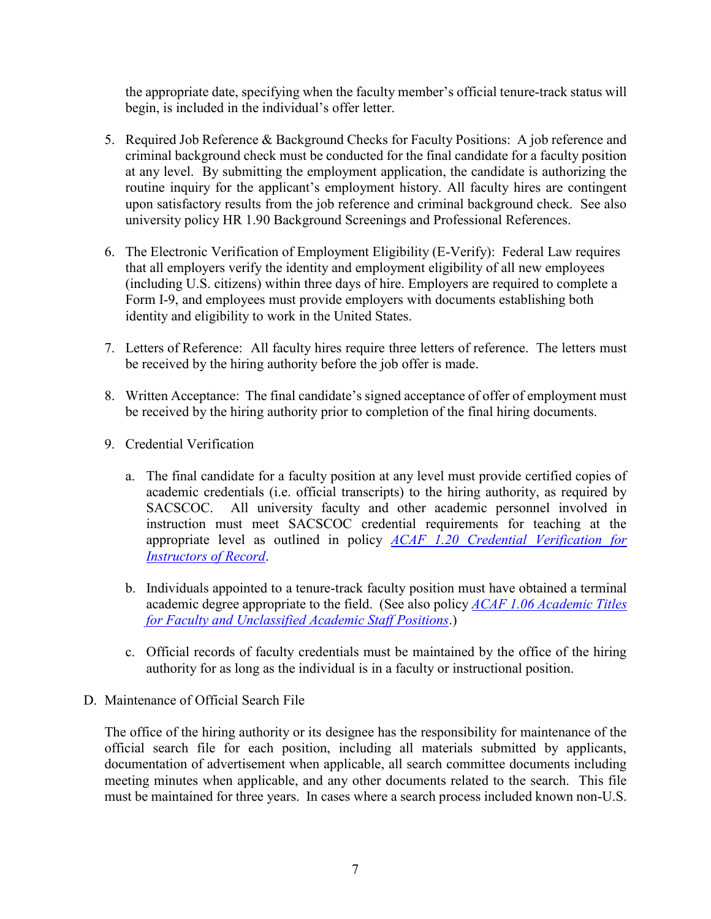the appropriate date, specifying when the faculty member's official tenure-track status will begin, is included in the individual's offer letter.

- 5. Required Job Reference & Background Checks for Faculty Positions: A job reference and criminal background check must be conducted for the final candidate for a faculty position at any level. By submitting the employment application, the candidate is authorizing the routine inquiry for the applicant's employment history. All faculty hires are contingent upon satisfactory results from the job reference and criminal background check. See also university policy HR 1.90 Background Screenings and Professional References.
- 6. The Electronic Verification of Employment Eligibility (E-Verify): Federal Law requires that all employers verify the identity and employment eligibility of all new employees (including U.S. citizens) within three days of hire. Employers are required to complete a Form I-9, and employees must provide employers with documents establishing both identity and eligibility to work in the United States.
- 7. Letters of Reference: All faculty hires require three letters of reference. The letters must be received by the hiring authority before the job offer is made.
- 8. Written Acceptance: The final candidate's signed acceptance of offer of employment must be received by the hiring authority prior to completion of the final hiring documents.
- 9. Credential Verification
	- a. The final candidate for a faculty position at any level must provide certified copies of academic credentials (i.e. official transcripts) to the hiring authority, as required by SACSCOC. All university faculty and other academic personnel involved in instruction must meet SACSCOC credential requirements for teaching at the appropriate level as outlined in policy *[ACAF 1.20 Credential Verification for](https://www.sc.edu/policies/ppm/acaf120.pdf)  [Instructors of Record](https://www.sc.edu/policies/ppm/acaf120.pdf)*.
	- b. Individuals appointed to a tenure-track faculty position must have obtained a terminal academic degree appropriate to the field. (See also policy *[ACAF 1.06 Academic Titles](https://www.sc.edu/policies/ppm/acaf106.pdf)  [for Faculty and Unclassified Academic Staff Positions](https://www.sc.edu/policies/ppm/acaf106.pdf)*.)
	- c. Official records of faculty credentials must be maintained by the office of the hiring authority for as long as the individual is in a faculty or instructional position.
- D. Maintenance of Official Search File

The office of the hiring authority or its designee has the responsibility for maintenance of the official search file for each position, including all materials submitted by applicants, documentation of advertisement when applicable, all search committee documents including meeting minutes when applicable, and any other documents related to the search. This file must be maintained for three years. In cases where a search process included known non-U.S.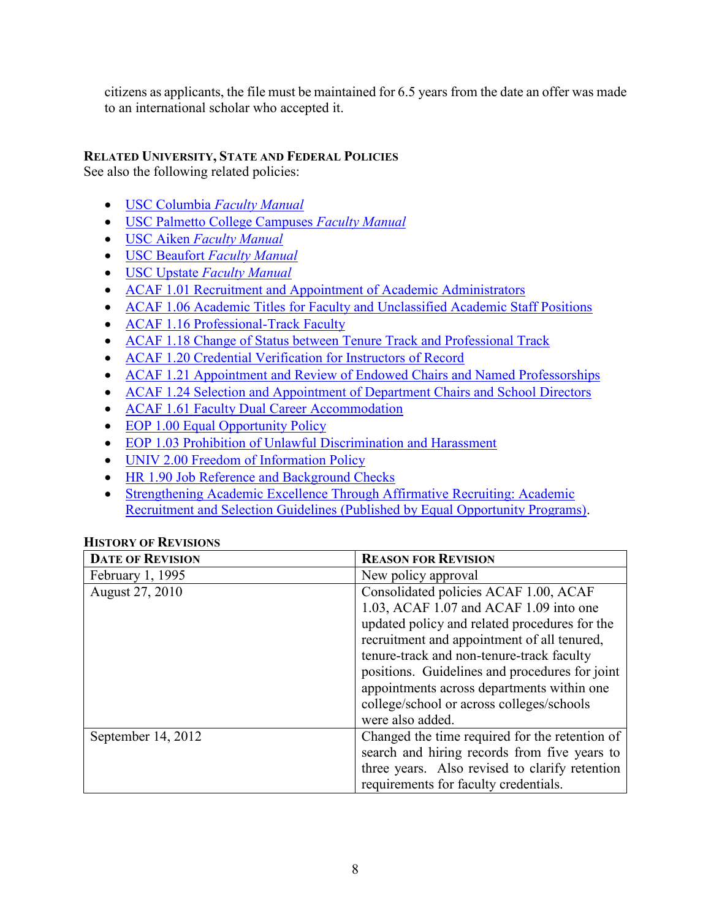citizens as applicants, the file must be maintained for 6.5 years from the date an offer was made to an international scholar who accepted it.

# **RELATED UNIVERSITY, STATE AND FEDERAL POLICIES**

See also the following related policies:

- [USC Columbia](https://sc.edu/about/offices_and_divisions/provost/docs/faculty_manual/faculty_manual_columbia_4_28_2021.pdf) *Faculty Manual*
- [USC Palmetto College Campuses](https://sc.edu/about/system_and_campuses/palmetto_college/internal/faculty_and_staff/academic_affairs/faculty_manual/index.php) *Faculty Manual*
- USC Aiken *[Faculty Manual](https://www.usca.edu/academic-affairs/faculty-resources/faculty-manuals)*
- USC Beaufort *[Faculty Manual](https://www.uscb.edu/human_resources/docs/Faculty-Manual-Board-Approved-Copy.pdf)*
- USC Upstate *[Faculty Manual](https://www.uscupstate.edu/faculty-staff/faculty-governance/faculty-manuals/)*
- [ACAF 1.01 Recruitment and Appointment of Academic Administrators](https://www.sc.edu/policies/ppm/acaf100.pdf)
- [ACAF 1.06 Academic Titles for Faculty and Unclassified Academic Staff Positions](https://www.sc.edu/policies/ppm/acaf106.pdf)
- [ACAF 1.16 Professional-Track Faculty](https://www.sc.edu/policies/ppm/acaf116.pdf)
- [ACAF 1.18 Change of Status between Tenure Track and Professional Track](https://www.sc.edu/policies/ppm/acaf118.pdf)
- [ACAF 1.20 Credential Verification for Instructors of Record](https://www.sc.edu/policies/ppm/acaf120.pdf)
- [ACAF 1.21 Appointment and Review of Endowed Chairs and Named Professorships](https://www.sc.edu/policies/ppm/acaf121.pdf)
- [ACAF 1.24 Selection and Appointment of Department Chairs and School Directors](https://www.sc.edu/policies/ppm/acaf124.pdf)
- [ACAF 1.61 Faculty Dual Career Accommodation](https://www.sc.edu/policies/ppm/acaf161.pdf)
- [EOP 1.00 Equal Opportunity Policy](https://www.sc.edu/policies/ppm/eop100.pdf)
- EOP 1.03 [Prohibition of Unlawful Discrimination and Harassment](https://www.sc.edu/policies/ppm/eop103.pdf)
- [UNIV 2.00 Freedom of Information Policy](https://www.sc.edu/policies/ppm/univ200.pdf)
- [HR 1.90 Job Reference and Background Checks](https://www.sc.edu/policies/ppm/hr190.pdf)
- [Strengthening Academic Excellence Through Affirmative Recruiting: Academic](http://www.sc.edu/eop/manual.pdf)  Recruitment and Selection Guidelines [\(Published by Equal Opportunity Programs\).](http://www.sc.edu/eop/manual.pdf)

## **HISTORY OF REVISIONS**

| <b>DATE OF REVISION</b> | <b>REASON FOR REVISION</b>                     |
|-------------------------|------------------------------------------------|
| February 1, 1995        | New policy approval                            |
| August 27, 2010         | Consolidated policies ACAF 1.00, ACAF          |
|                         | 1.03, ACAF 1.07 and ACAF 1.09 into one         |
|                         | updated policy and related procedures for the  |
|                         | recruitment and appointment of all tenured,    |
|                         | tenure-track and non-tenure-track faculty      |
|                         | positions. Guidelines and procedures for joint |
|                         | appointments across departments within one     |
|                         | college/school or across colleges/schools      |
|                         | were also added.                               |
| September 14, 2012      | Changed the time required for the retention of |
|                         | search and hiring records from five years to   |
|                         | three years. Also revised to clarify retention |
|                         | requirements for faculty credentials.          |